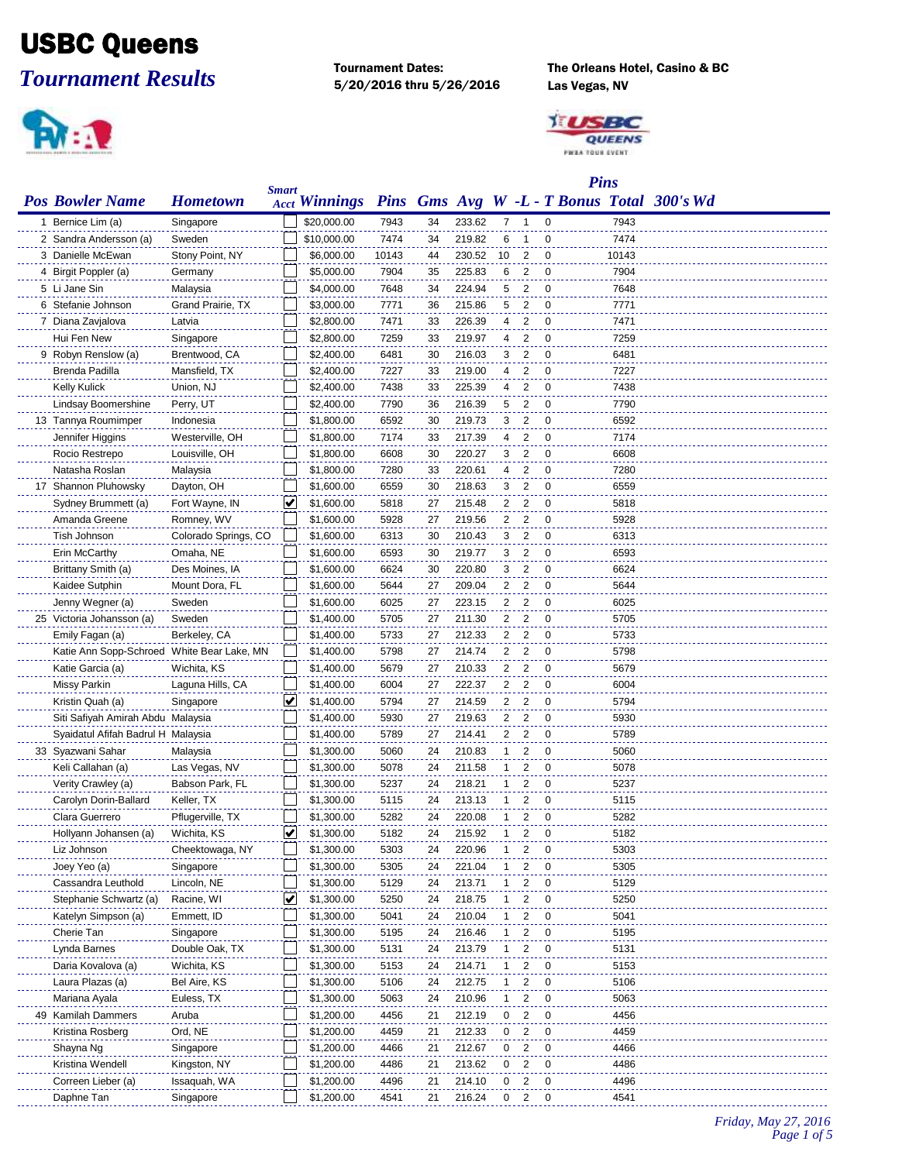## USBC Queens

*Tournament Results*



5/20/2016 thru 5/26/2016 Las Vegas, NV

Tournament Dates: The Orleans Hotel, Casino & BC



|                                            |                      |              |                      |       |    |        |    |                            |                | <b>Pins</b> |                                            |
|--------------------------------------------|----------------------|--------------|----------------------|-------|----|--------|----|----------------------------|----------------|-------------|--------------------------------------------|
| <b>Pos Bowler Name</b>                     | <b>Hometown</b>      | <b>Smart</b> | <b>Acct Winnings</b> |       |    |        |    |                            |                |             | Pins Gms Avg W -L - T Bonus Total 300's Wd |
| 1 Bernice Lim (a)                          | Singapore            |              | \$20,000.00          | 7943  | 34 | 233.62 | 7  | -1                         | 0              | 7943        |                                            |
| 2 Sandra Andersson (a)                     | Sweden               |              | \$10,000.00          | 7474  | 34 | 219.82 | 6  | -1                         | 0              | 7474        |                                            |
| 3 Danielle McEwan                          | Stony Point, NY      |              | \$6,000.00           | 10143 | 44 | 230.52 | 10 | 2                          | 0              | 10143       |                                            |
| 4 Birgit Poppler (a)                       | Germany              |              | \$5,000.00           | 7904  | 35 | 225.83 | 6  | 2                          | $\mathbf 0$    | 7904        |                                            |
| 5 Li Jane Sin                              | Malaysia             |              | \$4,000.00           | 7648  | 34 | 224.94 | 5  | $\overline{2}$             | $\mathbf 0$    | 7648        |                                            |
| 6 Stefanie Johnson                         | Grand Prairie, TX    |              | \$3,000.00           | 7771  | 36 | 215.86 | 5  | $\overline{2}$             | 0              | 7771        |                                            |
| 7 Diana Zavjalova                          | Latvia               |              | \$2,800.00           | 7471  | 33 | 226.39 | 4  | $\overline{c}$             | $\mathbf 0$    | 7471        |                                            |
| Hui Fen New                                | Singapore            |              | \$2,800.00           | 7259  | 33 | 219.97 | 4  | $\overline{2}$             | 0              | 7259        |                                            |
| 9 Robyn Renslow (a)                        | Brentwood, CA        |              | \$2,400.00           | 6481  | 30 | 216.03 | 3  | $\overline{c}$             | 0              | 6481        |                                            |
| Brenda Padilla                             | Mansfield, TX        |              | \$2,400.00           | 7227  | 33 | 219.00 | 4  | 2                          | 0              | 7227        |                                            |
| <b>Kelly Kulick</b>                        | Union, NJ            |              | \$2,400.00           | 7438  | 33 | 225.39 | 4  | 2                          | 0              | 7438        |                                            |
| Lindsay Boomershine                        | Perry, UT            |              | \$2,400.00           | 7790  | 36 | 216.39 | 5  | 2                          | $\mathbf 0$    | 7790        |                                            |
| 13 Tannya Roumimper                        | Indonesia            |              | \$1,800.00           | 6592  | 30 | 219.73 | 3  | 2                          | $\mathbf 0$    | 6592        |                                            |
| Jennifer Higgins                           | Westerville, OH      |              | \$1,800.00           | 7174  | 33 | 217.39 | 4  | $\overline{2}$             | $\mathbf 0$    | 7174        |                                            |
| Rocio Restrepo                             | Louisville, OH       |              | \$1,800.00           | 6608  | 30 | 220.27 | 3  | $\overline{2}$             | $\mathbf 0$    | 6608        |                                            |
| Natasha Roslan                             | Malaysia             |              | \$1,800.00           | 7280  | 33 | 220.61 | 4  | $\overline{2}$             | 0              | 7280        |                                            |
| 17 Shannon Pluhowsky                       | Dayton, OH           |              | \$1,600.00           | 6559  | 30 | 218.63 | 3  | $\overline{2}$             | 0              | 6559        |                                            |
| Sydney Brummett (a)                        | Fort Wayne, IN       | ⊻            | \$1,600.00           | 5818  | 27 | 215.48 | 2  | $\overline{c}$             | 0              | 5818        |                                            |
| Amanda Greene                              | Romney, WV           |              | \$1,600.00           | 5928  | 27 | 219.56 | 2  | $\overline{2}$             | $\mathbf 0$    | 5928        |                                            |
| Tish Johnson                               | Colorado Springs, CO |              | \$1,600.00           | 6313  | 30 | 210.43 | 3  | $\overline{2}$             | $\mathbf 0$    | 6313        |                                            |
| Erin McCarthy                              | Omaha, NE            |              | \$1,600.00           | 6593  | 30 | 219.77 | 3  | 2                          | 0              | 6593        |                                            |
| Brittany Smith (a)                         | Des Moines, IA       |              | \$1,600.00           | 6624  | 30 | 220.80 | 3  | $\overline{2}$             | $\mathbf 0$    | 6624        |                                            |
| Kaidee Sutphin                             | Mount Dora, FL       |              | \$1,600.00           | 5644  | 27 | 209.04 | 2  | $\overline{\phantom{0}}^2$ | $\mathbf 0$    | 5644        |                                            |
| Jenny Wegner (a)                           | Sweden               |              | \$1,600.00           | 6025  | 27 | 223.15 | 2  | $\overline{c}$             | $\mathbf 0$    | 6025        |                                            |
| 25 Victoria Johansson (a)                  | Sweden               |              | \$1,400.00           | 5705  | 27 | 211.30 | 2  | $\overline{c}$             | 0              | 5705        |                                            |
| Emily Fagan (a)                            | Berkeley, CA         |              | \$1,400.00           | 5733  | 27 | 212.33 | 2  | 2                          | 0              | 5733        |                                            |
| Katie Ann Sopp-Schroed White Bear Lake, MN |                      |              | \$1,400.00           | 5798  | 27 | 214.74 | 2  | $\overline{2}$             | 0              | 5798        |                                            |
| Katie Garcia (a)                           | Wichita, KS          |              | \$1,400.00           | 5679  | 27 | 210.33 | 2  | $\overline{2}$             | $\mathbf 0$    | 5679        |                                            |
| <b>Missy Parkin</b>                        | Laguna Hills, CA     |              | \$1,400.00           | 6004  | 27 | 222.37 | 2  | 2                          | 0              | 6004        |                                            |
| Kristin Quah (a)                           | Singapore            | V            | \$1,400.00           | 5794  | 27 | 214.59 | 2  | $\overline{2}$             | $\mathbf 0$    | 5794        |                                            |
| Siti Safiyah Amirah Abdu Malaysia          |                      |              | \$1,400.00           | 5930  | 27 | 219.63 | 2  | $\overline{c}$             | 0              | 5930        |                                            |
| Syaidatul Afifah Badrul H Malaysia         |                      |              | \$1,400.00           | 5789  | 27 | 214.41 | 2  | $\overline{c}$             | 0              | 5789        |                                            |
| 33 Syazwani Sahar                          | Malaysia             |              | \$1,300.00           | 5060  | 24 | 210.83 | 1  | 2                          | 0              | 5060        |                                            |
| Keli Callahan (a)                          | Las Vegas, NV        |              | \$1,300.00           | 5078  | 24 | 211.58 | 1  | 2                          | 0              | 5078        |                                            |
| Verity Crawley (a)                         | Babson Park, FL      |              | \$1,300.00           | 5237  | 24 | 218.21 | -1 | 2                          | 0              | 5237        |                                            |
| Carolyn Dorin-Ballard                      | Keller, TX           |              | \$1,300.00           | 5115  | 24 | 213.13 | 1  | $\overline{2}$             | $\mathbf 0$    | 5115        |                                            |
| Clara Guerrero                             | Pflugerville, TX     |              | \$1,300.00           | 5282  | 24 | 220.08 | 1  | 2                          | 0              | 5282        |                                            |
| Hollvann Johansen (a)                      | Wichita, KS          | v            | \$1,300.00           | 5182  | 24 | 215.92 | -1 | 2                          | $\Omega$       | 5182        |                                            |
| Liz Johnson                                | Cheektowaga, NY      |              | \$1,300.00           | 5303  | 24 | 220.96 | 1  | $\overline{2}$             | 0              | 5303        |                                            |
| Joey Yeo (a)                               | Singapore            |              | \$1,300.00           | 5305  | 24 | 221.04 |    | 2                          | 0              | 5305        |                                            |
| Cassandra Leuthold                         | Lincoln, NE          |              | \$1,300.00           | 5129  | 24 | 213.71 | 1  | 2                          | 0              | 5129        |                                            |
| Stephanie Schwartz (a)                     | Racine, WI           | ⊻            | \$1,300.00           | 5250  | 24 | 218.75 |    | 2                          | $\mathbf 0$    | 5250        |                                            |
| Katelyn Simpson (a)                        | Emmett, ID           |              | \$1,300.00           | 5041  | 24 | 210.04 |    | 2                          | 0              | 5041        |                                            |
| Cherie Tan                                 | Singapore            |              | \$1,300.00           | 5195  | 24 | 216.46 |    | 2                          | 0              | 5195        |                                            |
| Lynda Barnes                               | Double Oak, TX       |              | \$1,300.00           | 5131  | 24 | 213.79 |    | 2                          | $\mathbf 0$    | 5131        |                                            |
| Daria Kovalova (a)                         | Wichita, KS          |              | \$1,300.00           | 5153  | 24 | 214.71 | 1  | 2                          | $\mathbf 0$    | 5153        |                                            |
| Laura Plazas (a)                           | Bel Aire, KS         |              | \$1,300.00           | 5106  | 24 | 212.75 | -1 | 2                          | 0              | 5106        |                                            |
| Mariana Ayala                              | Euless, TX           |              | \$1,300.00           | 5063  | 24 | 210.96 | 1  | 2                          | 0              | 5063        |                                            |
| 49 Kamilah Dammers                         | Aruba                |              | \$1,200.00           | 4456  | 21 | 212.19 | 0  | 2                          | 0              | 4456        |                                            |
| Kristina Rosberg                           | Ord, NE              |              | \$1,200.00           | 4459  | 21 | 212.33 | 0  | 2                          | 0              | 4459        |                                            |
| Shayna Ng                                  | Singapore            |              | \$1,200.00           | 4466  | 21 | 212.67 | 0  | $\overline{\mathbf{c}}$    | $\overline{0}$ | 4466        |                                            |
| Kristina Wendell                           | Kingston, NY         |              | \$1,200.00           | 4486  | 21 | 213.62 | 0  | 2                          | 0              | 4486        |                                            |
| Correen Lieber (a)                         | Issaquah, WA         |              | \$1,200.00           | 4496  | 21 | 214.10 | 0  | 2                          | 0              | 4496        |                                            |
| Daphne Tan                                 | Singapore            |              | \$1,200.00           | 4541  | 21 | 216.24 | 0  | $\overline{2}$             | 0              | 4541        |                                            |
|                                            |                      |              |                      |       |    |        |    |                            |                |             |                                            |

*Friday, May 27, 2016 Page 1 of 5*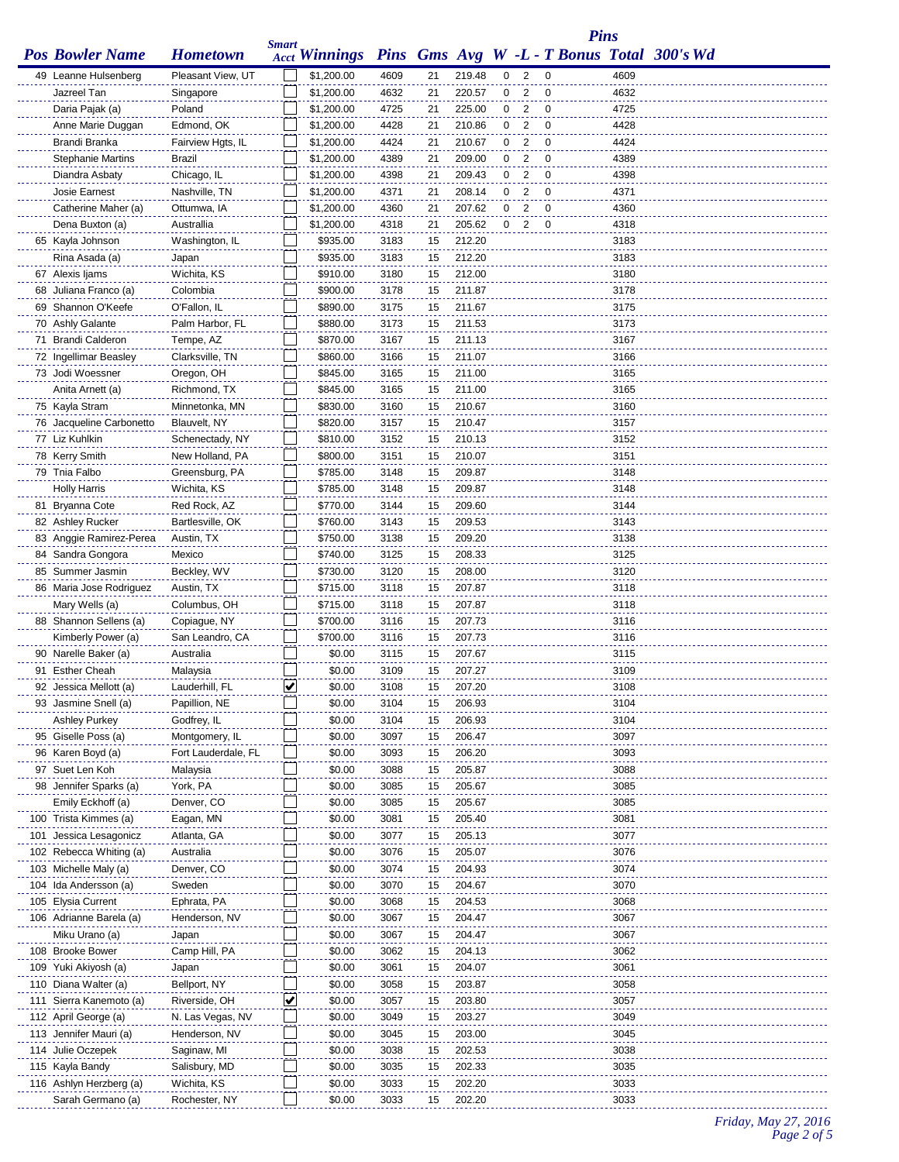|                                           |                               |              |                                                          |              |          |                  |   |                |                | <b>Pins</b>  |  |
|-------------------------------------------|-------------------------------|--------------|----------------------------------------------------------|--------------|----------|------------------|---|----------------|----------------|--------------|--|
| <b>Pos Bowler Name</b>                    | <b>Hometown</b>               | <b>Smart</b> | Acct Winnings Pins Gms Avg W -L - T Bonus Total 300's Wd |              |          |                  |   |                |                |              |  |
| 49 Leanne Hulsenberg                      | Pleasant View, UT             |              | \$1,200.00                                               | 4609         | 21       | 219.48           | 0 | 2              | $\mathbf 0$    | 4609         |  |
| Jazreel Tan                               | Singapore                     |              | \$1,200.00                                               | 4632         | 21       | 220.57           | 0 | $\overline{2}$ | $\mathbf 0$    | 4632         |  |
| Daria Pajak (a)                           | Poland                        |              | \$1,200.00                                               | 4725         | 21       | 225.00           | 0 | 2              | $\overline{0}$ | 4725         |  |
| Anne Marie Duggan                         | Edmond, OK                    |              | \$1,200.00                                               | 4428         | 21       | 210.86           | 0 | 2              | $\mathbf 0$    | 4428         |  |
| Brandi Branka                             | Fairview Hgts, IL             |              | \$1,200.00                                               | 4424         | 21       | 210.67           | 0 | 2              | 0              | 4424         |  |
| <b>Stephanie Martins</b>                  | Brazil                        |              | \$1,200.00                                               | 4389         | 21       | 209.00           | 0 | 2              | 0              | 4389         |  |
| Diandra Asbaty                            | Chicago, IL                   |              | \$1,200.00                                               | 4398         | 21       | 209.43           | 0 | 2              | 0              | 4398         |  |
| Josie Earnest                             | Nashville, TN                 |              | \$1,200.00                                               | 4371         | 21       | 208.14           | 0 | 2              | 0              | 4371         |  |
| Catherine Maher (a)                       | Ottumwa, IA                   |              | \$1,200.00                                               | 4360         | 21       | 207.62           | 0 | 2              | $\mathbf 0$    | 4360         |  |
| Dena Buxton (a)                           | Australlia                    |              | \$1,200.00                                               | 4318         | 21       | 205.62           | 0 | 2              | $\mathbf 0$    | 4318         |  |
| 65 Kayla Johnson                          | Washington, IL                |              | \$935.00                                                 | 3183         | 15       | 212.20           |   |                |                | 3183         |  |
| Rina Asada (a)                            | Japan                         |              | \$935.00                                                 | 3183         | 15       | 212.20           |   |                |                | 3183         |  |
| 67 Alexis Ijams                           | Wichita, KS                   |              | \$910.00                                                 | 3180         | 15       | 212.00           |   |                |                | 3180         |  |
| 68 Juliana Franco (a)                     | Colombia                      |              | \$900.00                                                 | 3178         | 15       | 211.87           |   |                |                | 3178         |  |
| 69 Shannon O'Keefe                        | O'Fallon, IL                  |              | \$890.00                                                 | 3175         | 15       | 211.67           |   |                |                | 3175         |  |
| 70 Ashly Galante                          | Palm Harbor, FL               |              | \$880.00                                                 | 3173         | 15       | 211.53           |   |                |                | 3173         |  |
| 71 Brandi Calderon                        | Tempe, AZ                     |              | \$870.00                                                 | 3167         | 15       | 211.13<br>211.07 |   |                |                | 3167         |  |
| 72 Ingellimar Beasley<br>73 Jodi Woessner | Clarksville, TN<br>Oregon, OH |              | \$860.00<br>\$845.00                                     | 3166<br>3165 | 15<br>15 | 211.00           |   |                |                | 3166<br>3165 |  |
| Anita Arnett (a)                          | Richmond, TX                  |              | \$845.00                                                 | 3165         | 15       | 211.00           |   |                |                | 3165         |  |
| 75 Kayla Stram                            | Minnetonka, MN                |              | \$830.00                                                 | 3160         | 15       | 210.67           |   |                |                | 3160         |  |
| 76 Jacqueline Carbonetto                  | Blauvelt, NY                  |              | \$820.00                                                 | 3157         | 15       | 210.47           |   |                |                | 3157         |  |
| 77 Liz Kuhlkin                            | Schenectady, NY               |              | \$810.00                                                 | 3152         | 15       | 210.13           |   |                |                | 3152         |  |
| 78 Kerry Smith                            | New Holland, PA               |              | \$800.00                                                 | 3151         | 15       | 210.07           |   |                |                | 3151         |  |
| 79 Tnia Falbo                             | Greensburg, PA                |              | \$785.00                                                 | 3148         | 15       | 209.87           |   |                |                | 3148         |  |
| <b>Holly Harris</b>                       | Wichita, KS                   |              | \$785.00                                                 | 3148         | 15       | 209.87           |   |                |                | 3148         |  |
| 81 Bryanna Cote                           | Red Rock, AZ                  |              | \$770.00                                                 | 3144         | 15       | 209.60           |   |                |                | 3144         |  |
| 82 Ashley Rucker                          | Bartlesville, OK              |              | \$760.00                                                 | 3143         | 15       | 209.53           |   |                |                | 3143         |  |
| 83 Anggie Ramirez-Perea                   | Austin, TX                    |              | \$750.00                                                 | 3138         | 15       | 209.20           |   |                |                | 3138         |  |
| 84 Sandra Gongora                         | Mexico                        |              | \$740.00                                                 | 3125         | 15       | 208.33           |   |                |                | 3125         |  |
| 85 Summer Jasmin                          | Beckley, WV                   |              | \$730.00                                                 | 3120         | 15       | 208.00           |   |                |                | 3120         |  |
| 86 Maria Jose Rodriguez                   | Austin, TX                    |              | \$715.00                                                 | 3118         | 15       | 207.87           |   |                |                | 3118         |  |
| Mary Wells (a)                            | Columbus, OH                  |              | \$715.00                                                 | 3118         | 15       | 207.87           |   |                |                | 3118         |  |
| 88 Shannon Sellens (a)                    | Copiague, NY                  |              | \$700.00                                                 | 3116         | 15       | 207.73           |   |                |                | 3116         |  |
| Kimberly Power (a)                        | San Leandro, CA               |              | \$700.00                                                 | 3116         | 15       | 207.73           |   |                |                | 3116         |  |
| 90 Narelle Baker (a)                      | Australia                     |              | \$0.00                                                   | 3115         | 15       | 207.67           |   |                |                | 3115         |  |
| 91 Esther Cheah                           | Malaysia                      |              | \$0.00                                                   | 3109         | 15       | 207.27           |   |                |                | 3109         |  |
| 92 Jessica Mellott (a)                    | Lauderhill, FL                | ⊻            | \$0.00                                                   | 3108         | 15       | 207.20           |   |                |                | 3108         |  |
| 93 Jasmine Snell (a)                      | Papillion, NE                 |              | \$0.00                                                   | 3104         | 15       | 206.93           |   |                |                | 3104         |  |
| <b>Ashley Purkey</b>                      | Godfrey, IL                   |              | \$0.00                                                   | 3104         | 15       | 206.93           |   |                |                | 3104         |  |
| 95 Giselle Poss (a)                       | Montgomery, IL                |              | \$0.00                                                   | 3097         | 15       | 206.47           |   |                |                | 3097         |  |
| 96 Karen Boyd (a)<br>97 Suet Len Koh      | Fort Lauderdale, FL           |              | \$0.00                                                   | 3093         | 15       | 206.20<br>205.87 |   |                |                | 3093         |  |
| 98 Jennifer Sparks (a)                    | Malaysia<br>York, PA          |              | \$0.00<br>\$0.00                                         | 3088<br>3085 | 15<br>15 | 205.67           |   |                |                | 3088<br>3085 |  |
| Emily Eckhoff (a)                         | Denver, CO                    |              | \$0.00                                                   | 3085         | 15       | 205.67           |   |                |                | 3085         |  |
| 100 Trista Kimmes (a)                     | Eagan, MN                     |              | \$0.00                                                   | 3081         | 15       | 205.40           |   |                |                | 3081         |  |
| 101 Jessica Lesagonicz                    | Atlanta, GA                   |              | \$0.00                                                   | 3077         | 15       | 205.13           |   |                |                | 3077         |  |
| 102 Rebecca Whiting (a)                   | Australia                     |              | \$0.00                                                   | 3076         | 15       | 205.07           |   |                |                | 3076         |  |
| 103 Michelle Maly (a)                     | Denver, CO                    |              | \$0.00                                                   | 3074         | 15       | 204.93           |   |                |                | 3074         |  |
| 104 Ida Andersson (a)                     | Sweden                        |              | \$0.00                                                   | 3070         | 15       | 204.67           |   |                |                | 3070         |  |
| 105 Elysia Current                        | Ephrata, PA                   |              | \$0.00                                                   | 3068         | 15       | 204.53           |   |                |                | 3068         |  |
| 106 Adrianne Barela (a)                   | Henderson, NV                 |              | \$0.00                                                   | 3067         | 15       | 204.47           |   |                |                | 3067         |  |
| Miku Urano (a)                            | Japan                         |              | \$0.00                                                   | 3067         | 15       | 204.47           |   |                |                | 3067         |  |
| 108 Brooke Bower                          | Camp Hill, PA                 |              | \$0.00                                                   | 3062         | 15       | 204.13           |   |                |                | 3062         |  |
| 109 Yuki Akiyosh (a)                      | Japan                         |              | \$0.00                                                   | 3061         | 15       | 204.07           |   |                |                | 3061         |  |
| 110 Diana Walter (a)                      | Bellport, NY                  |              | \$0.00                                                   | 3058         | 15       | 203.87           |   |                |                | 3058         |  |
| 111 Sierra Kanemoto (a)                   | Riverside, OH                 | ✔            | \$0.00                                                   | 3057         | 15       | 203.80           |   |                |                | 3057         |  |
| 112 April George (a)                      | N. Las Vegas, NV              |              | \$0.00                                                   | 3049         | 15       | 203.27           |   |                |                | 3049         |  |
| 113 Jennifer Mauri (a)                    | Henderson, NV                 |              | \$0.00                                                   | 3045         | 15       | 203.00           |   |                |                | 3045         |  |
| 114 Julie Oczepek                         | Saginaw, MI                   |              | \$0.00                                                   | 3038         | 15       | 202.53           |   |                |                | 3038         |  |
| 115 Kayla Bandy                           | Salisbury, MD                 |              | \$0.00                                                   | 3035         | 15       | 202.33           |   |                |                | 3035         |  |
| 116 Ashlyn Herzberg (a)                   | Wichita, KS                   |              | \$0.00                                                   | 3033         | 15       | 202.20           |   |                |                | 3033         |  |
| Sarah Germano (a)                         | Rochester, NY                 |              | \$0.00                                                   | 3033         | 15       | 202.20           |   |                |                | 3033         |  |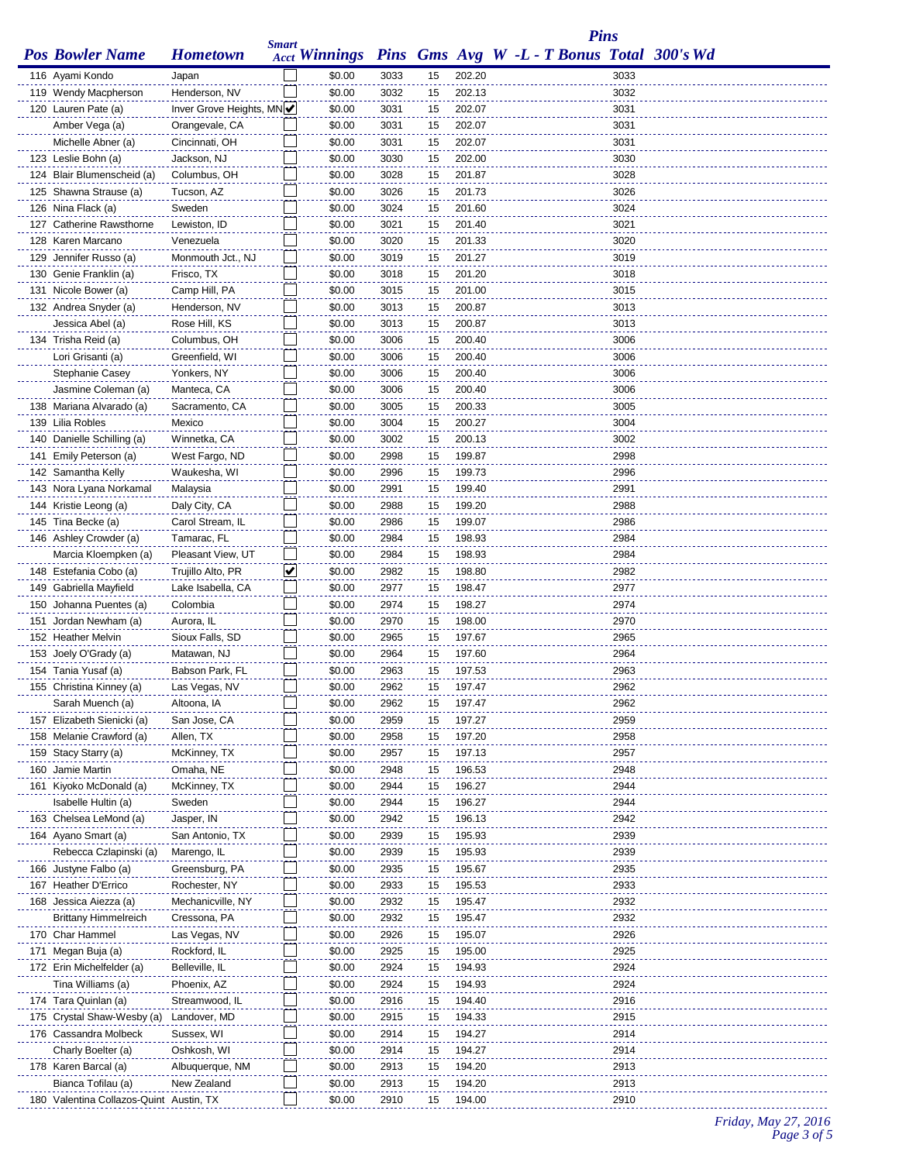|                                            |                                | <b>Smart</b> |                                                          |              |          |                  |  |  | <b>Pins</b>  |  |
|--------------------------------------------|--------------------------------|--------------|----------------------------------------------------------|--------------|----------|------------------|--|--|--------------|--|
| <b>Pos Bowler Name</b>                     | <b>Hometown</b>                |              | Acct Winnings Pins Gms Avg W -L - T Bonus Total 300's Wd |              |          |                  |  |  |              |  |
| 116 Ayami Kondo                            | Japan                          |              | \$0.00                                                   | 3033         | 15       | 202.20           |  |  | 3033         |  |
| 119 Wendy Macpherson                       | Henderson, NV                  |              | \$0.00                                                   | 3032         | 15       | 202.13           |  |  | 3032         |  |
| 120 Lauren Pate (a)                        | Inver Grove Heights, MN        |              | \$0.00                                                   | 3031         | 15       | 202.07           |  |  | 3031         |  |
| Amber Vega (a)                             | Orangevale, CA                 |              | \$0.00                                                   | 3031         | 15       | 202.07           |  |  | 3031         |  |
| Michelle Abner (a)                         | Cincinnati, OH                 |              | \$0.00                                                   | 3031         | 15       | 202.07           |  |  | 3031         |  |
| 123 Leslie Bohn (a)                        | Jackson, NJ                    |              | \$0.00                                                   | 3030         | 15       | 202.00           |  |  | 3030         |  |
| 124 Blair Blumenscheid (a)                 | Columbus, OH                   |              | \$0.00                                                   | 3028         | 15       | 201.87           |  |  | 3028         |  |
| 125 Shawna Strause (a)                     | Tucson, AZ                     |              | \$0.00                                                   | 3026         | 15       | 201.73           |  |  | 3026         |  |
| 126 Nina Flack (a)                         | Sweden                         |              | \$0.00                                                   | 3024         | 15       | 201.60           |  |  | 3024         |  |
| 127 Catherine Rawsthorne                   | Lewiston, ID                   |              | \$0.00                                                   | 3021         | 15       | 201.40           |  |  | 3021         |  |
| 128 Karen Marcano                          | Venezuela                      |              | \$0.00                                                   | 3020         | 15       | 201.33           |  |  | 3020         |  |
| 129 Jennifer Russo (a)                     | Monmouth Jct., NJ              |              | \$0.00                                                   | 3019         | 15       | 201.27           |  |  | 3019         |  |
| 130 Genie Franklin (a)                     | Frisco, TX                     |              | \$0.00                                                   | 3018         | 15       | 201.20           |  |  | 3018         |  |
| 131 Nicole Bower (a)                       | Camp Hill, PA                  |              | \$0.00                                                   | 3015         | 15       | 201.00           |  |  | 3015         |  |
| 132 Andrea Snyder (a)                      | Henderson, NV                  |              | \$0.00                                                   | 3013         | 15       | 200.87           |  |  | 3013         |  |
| Jessica Abel (a)                           | Rose Hill, KS                  |              | \$0.00                                                   | 3013         | 15       | 200.87           |  |  | 3013         |  |
| 134 Trisha Reid (a)                        | Columbus, OH<br>Greenfield, WI |              | \$0.00<br>\$0.00                                         | 3006         | 15       | 200.40<br>200.40 |  |  | 3006<br>3006 |  |
| Lori Grisanti (a)<br>Stephanie Casey       | Yonkers, NY                    |              | \$0.00                                                   | 3006<br>3006 | 15<br>15 | 200.40           |  |  | 3006         |  |
| Jasmine Coleman (a)                        | Manteca, CA                    |              | \$0.00                                                   | 3006         | 15       | 200.40           |  |  | 3006         |  |
| 138 Mariana Alvarado (a)                   | Sacramento, CA                 |              | \$0.00                                                   | 3005         | 15       | 200.33           |  |  | 3005         |  |
| 139 Lilia Robles                           | Mexico                         |              | \$0.00                                                   | 3004         | 15       | 200.27           |  |  | 3004         |  |
| 140 Danielle Schilling (a)                 | Winnetka, CA                   |              | \$0.00                                                   | 3002         | 15       | 200.13           |  |  | 3002         |  |
| 141 Emily Peterson (a)                     | West Fargo, ND                 |              | \$0.00                                                   | 2998         | 15       | 199.87           |  |  | 2998         |  |
| 142 Samantha Kelly                         | Waukesha, WI                   |              | \$0.00                                                   | 2996         | 15       | 199.73           |  |  | 2996         |  |
| 143 Nora Lyana Norkamal                    | Malaysia                       |              | \$0.00                                                   | 2991         | 15       | 199.40           |  |  | 2991         |  |
| 144 Kristie Leong (a)                      | Daly City, CA                  |              | \$0.00                                                   | 2988         | 15       | 199.20           |  |  | 2988         |  |
| 145 Tina Becke (a)                         | Carol Stream, IL               |              | \$0.00                                                   | 2986         | 15       | 199.07           |  |  | 2986         |  |
| 146 Ashley Crowder (a)                     | Tamarac, FL                    |              | \$0.00                                                   | 2984         | 15       | 198.93           |  |  | 2984         |  |
| Marcia Kloempken (a)                       | Pleasant View, UT              |              | \$0.00                                                   | 2984         | 15       | 198.93           |  |  | 2984         |  |
| 148 Estefania Cobo (a)                     | Trujillo Alto, PR              | ✔            | \$0.00                                                   | 2982         | 15       | 198.80           |  |  | 2982         |  |
| 149 Gabriella Mayfield                     | Lake Isabella, CA              |              | \$0.00                                                   | 2977         | 15       | 198.47           |  |  | 2977         |  |
| 150 Johanna Puentes (a)                    | Colombia                       |              | \$0.00                                                   | 2974         | 15       | 198.27           |  |  | 2974         |  |
| 151 Jordan Newham (a)                      | Aurora, IL                     |              | \$0.00                                                   | 2970         | 15       | 198.00           |  |  | 2970         |  |
| 152 Heather Melvin                         | Sioux Falls, SD                |              | \$0.00                                                   | 2965         | 15       | 197.67           |  |  | 2965         |  |
| 153 Joely O'Grady (a)                      | Matawan, NJ                    |              | \$0.00                                                   | 2964         | 15       | 197.60           |  |  | 2964         |  |
| 154 Tania Yusaf (a)                        | Babson Park, FL                |              | \$0.00                                                   | 2963         | 15       | 197.53           |  |  | 2963         |  |
| 155 Christina Kinney (a)                   | Las Vegas, NV                  |              | \$0.00                                                   | 2962         | 15       | 197.47           |  |  | 2962         |  |
| Sarah Muench (a)                           | Altoona, IA                    |              | \$0.00                                                   | 2962         | 15       | 197.47           |  |  | 2962         |  |
| 157 Elizabeth Sienicki (a)                 | San Jose, CA                   |              | \$0.00                                                   | 2959         | 15       | 197.27           |  |  | 2959         |  |
| 158 Melanie Crawford (a)                   | Allen, TX                      |              | \$0.00                                                   | 2958         | 15       | 197.20           |  |  | 2958         |  |
| 159 Stacy Starry (a)                       | McKinney, TX                   |              | \$0.00                                                   | 2957         | 15       | 197.13           |  |  | 2957         |  |
| 160 Jamie Martin                           | Omaha, NE                      |              | \$0.00                                                   | 2948         | 15       | 196.53           |  |  | 2948         |  |
| 161 Kiyoko McDonald (a)                    | McKinney, TX                   |              | \$0.00                                                   | 2944         | 15       | 196.27           |  |  | 2944         |  |
| Isabelle Hultin (a)                        | Sweden                         |              | \$0.00                                                   | 2944         | 15       | 196.27           |  |  | 2944         |  |
| 163 Chelsea LeMond (a)                     | Jasper, IN                     |              | \$0.00                                                   | 2942         | 15       | 196.13           |  |  | 2942         |  |
| 164 Ayano Smart (a)                        | San Antonio, TX                |              | \$0.00                                                   | 2939         | 15       | 195.93           |  |  | 2939         |  |
| Rebecca Czlapinski (a)                     | Marengo, IL                    |              | \$0.00                                                   | 2939         | 15       | 195.93           |  |  | 2939         |  |
| 166 Justyne Falbo (a)                      | Greensburg, PA                 |              | \$0.00                                                   | 2935         | 15       | 195.67           |  |  | 2935         |  |
| 167 Heather D'Errico                       | Rochester, NY                  |              | \$0.00                                                   | 2933         | 15       | 195.53           |  |  | 2933         |  |
| 168 Jessica Aiezza (a)                     | Mechanicville, NY              |              | \$0.00                                                   | 2932         | 15       | 195.47           |  |  | 2932         |  |
| <b>Brittany Himmelreich</b>                | Cressona, PA                   |              | \$0.00                                                   | 2932         | 15       | 195.47           |  |  | 2932         |  |
| 170 Char Hammel                            | Las Vegas, NV                  |              | \$0.00                                                   | 2926         | 15       | 195.07           |  |  | 2926         |  |
| 171 Megan Buja (a)                         | Rockford, IL                   |              | \$0.00                                                   | 2925         | 15       | 195.00           |  |  | 2925         |  |
| 172 Erin Michelfelder (a)                  | Belleville, IL                 |              | \$0.00                                                   | 2924         | 15       | 194.93           |  |  | 2924         |  |
| Tina Williams (a)                          | Phoenix, AZ                    |              | \$0.00                                                   | 2924         | 15       | 194.93           |  |  | 2924         |  |
| 174 Tara Quinlan (a)                       | Streamwood, IL                 |              | \$0.00                                                   | 2916         | 15       | 194.40           |  |  | 2916<br>2915 |  |
| 175 Crystal Shaw-Wesby (a)                 | Landover, MD<br>Sussex, WI     |              | \$0.00<br>\$0.00                                         | 2915<br>2914 | 15<br>15 | 194.33<br>194.27 |  |  | 2914         |  |
| 176 Cassandra Molbeck                      |                                |              |                                                          |              |          |                  |  |  |              |  |
| Charly Boelter (a)<br>178 Karen Barcal (a) | Oshkosh, WI<br>Albuquerque, NM |              | \$0.00<br>\$0.00                                         | 2914<br>2913 | 15<br>15 | 194.27<br>194.20 |  |  | 2914<br>2913 |  |
| Bianca Tofilau (a)                         | New Zealand                    |              | \$0.00                                                   | 2913         | 15       | 194.20           |  |  | 2913         |  |
| 180 Valentina Collazos-Quint Austin, TX    |                                |              | \$0.00                                                   | 2910         | 15       | 194.00           |  |  | 2910         |  |
|                                            |                                |              |                                                          |              |          |                  |  |  |              |  |

## *Friday, May 27, 2016 Page 3 of 5*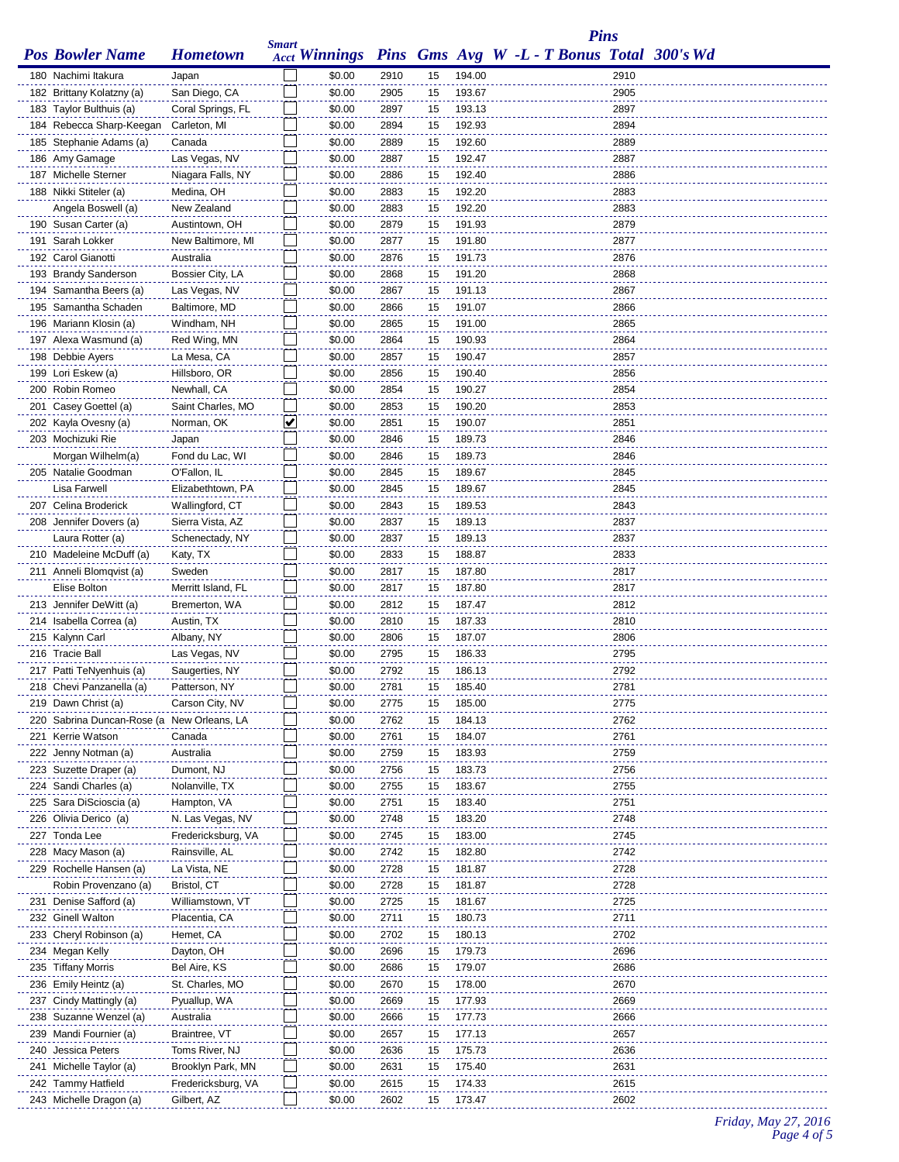|                                                      |                             |              |                  |              |          |                  |                                                          | <b>Pins</b>  |  |
|------------------------------------------------------|-----------------------------|--------------|------------------|--------------|----------|------------------|----------------------------------------------------------|--------------|--|
| <b>Pos Bowler Name</b>                               | <b>Hometown</b>             | <b>Smart</b> |                  |              |          |                  | Acct Winnings Pins Gms Avg W -L - T Bonus Total 300's Wd |              |  |
|                                                      |                             |              | \$0.00           |              |          |                  |                                                          |              |  |
| 180 Nachimi Itakura                                  | Japan<br>San Diego, CA      |              |                  | 2910         | 15       | 194.00<br>193.67 |                                                          | 2910<br>2905 |  |
| 182 Brittany Kolatzny (a)<br>183 Taylor Bulthuis (a) | Coral Springs, FL           |              | \$0.00<br>\$0.00 | 2905<br>2897 | 15<br>15 | 193.13           |                                                          | 2897         |  |
| 184 Rebecca Sharp-Keegan                             | Carleton, MI                |              | \$0.00           | 2894         | 15       | 192.93           |                                                          | 2894         |  |
| 185 Stephanie Adams (a)                              | Canada                      |              | \$0.00           | 2889         | 15       | 192.60           |                                                          | 2889         |  |
| 186 Amy Gamage                                       | Las Vegas, NV               |              | \$0.00           | 2887         | 15       | 192.47           |                                                          | 2887         |  |
| 187 Michelle Sterner                                 | Niagara Falls, NY           |              | \$0.00           | 2886         | 15       | 192.40           |                                                          | 2886         |  |
| 188 Nikki Stiteler (a)                               | Medina, OH                  |              | \$0.00           | 2883         | 15       | 192.20           |                                                          | 2883         |  |
| Angela Boswell (a)                                   | New Zealand                 |              | \$0.00           | 2883         | 15       | 192.20           |                                                          | 2883         |  |
| 190 Susan Carter (a)                                 | Austintown, OH              |              | \$0.00           | 2879         | 15       | 191.93           |                                                          | 2879         |  |
| 191 Sarah Lokker                                     | New Baltimore, MI           |              | \$0.00           | 2877         | 15       | 191.80           |                                                          | 2877         |  |
| 192 Carol Gianotti                                   | Australia                   |              | \$0.00           | 2876         | 15       | 191.73           |                                                          | 2876         |  |
| 193 Brandy Sanderson                                 | Bossier City, LA            |              | \$0.00           | 2868         | 15       | 191.20           |                                                          | 2868         |  |
| 194 Samantha Beers (a)                               | Las Vegas, NV               |              | \$0.00           | 2867         | 15       | 191.13           |                                                          | 2867         |  |
| 195 Samantha Schaden                                 | Baltimore, MD               |              | \$0.00           | 2866         | 15       | 191.07           |                                                          | 2866         |  |
| 196 Mariann Klosin (a)                               | Windham, NH                 |              | \$0.00           | 2865         | 15       | 191.00           |                                                          | 2865         |  |
| 197 Alexa Wasmund (a)                                | Red Wing, MN                |              | \$0.00           | 2864         | 15       | 190.93           |                                                          | 2864         |  |
| 198 Debbie Ayers                                     | La Mesa, CA                 |              | \$0.00           | 2857         | 15       | 190.47           |                                                          | 2857         |  |
| 199 Lori Eskew (a)                                   | Hillsboro, OR               |              | \$0.00           | 2856         | 15       | 190.40           |                                                          | 2856         |  |
| 200 Robin Romeo                                      | Newhall, CA                 |              | \$0.00           | 2854         | 15       | 190.27           |                                                          | 2854         |  |
| 201 Casey Goettel (a)                                | Saint Charles, MO           |              | \$0.00           | 2853         | 15       | 190.20           |                                                          | 2853         |  |
| 202 Kayla Ovesny (a)                                 | Norman, OK                  | V            | \$0.00           | 2851         | 15       | 190.07           |                                                          | 2851         |  |
| 203 Mochizuki Rie                                    | Japan                       |              | \$0.00           | 2846         | 15       | 189.73           |                                                          | 2846         |  |
| Morgan Wilhelm(a)                                    | Fond du Lac, WI             |              | \$0.00           | 2846         | 15       | 189.73           |                                                          | 2846         |  |
| 205 Natalie Goodman                                  | O'Fallon, IL                |              | \$0.00           | 2845         | 15       | 189.67           |                                                          | 2845         |  |
| Lisa Farwell                                         | Elizabethtown, PA           |              | \$0.00           | 2845         | 15       | 189.67           |                                                          | 2845         |  |
| 207 Celina Broderick                                 | Wallingford, CT             |              | \$0.00           | 2843         | 15       | 189.53           |                                                          | 2843         |  |
| 208 Jennifer Dovers (a)<br>Laura Rotter (a)          | Sierra Vista, AZ            |              | \$0.00<br>\$0.00 | 2837<br>2837 | 15<br>15 | 189.13<br>189.13 |                                                          | 2837<br>2837 |  |
| 210 Madeleine McDuff (a)                             | Schenectady, NY<br>Katy, TX |              | \$0.00           | 2833         | 15       | 188.87           |                                                          | 2833         |  |
| 211 Anneli Blomqvist (a)                             | Sweden                      |              | \$0.00           | 2817         | 15       | 187.80           |                                                          | 2817         |  |
| Elise Bolton                                         | Merritt Island, FL          |              | \$0.00           | 2817         | 15       | 187.80           |                                                          | 2817         |  |
| 213 Jennifer DeWitt (a)                              | Bremerton, WA               |              | \$0.00           | 2812         | 15       | 187.47           |                                                          | 2812         |  |
| 214 Isabella Correa (a)                              | Austin, TX                  |              | \$0.00           | 2810         | 15       | 187.33           |                                                          | 2810         |  |
| 215 Kalynn Carl                                      | Albany, NY                  |              | \$0.00           | 2806         | 15       | 187.07           |                                                          | 2806         |  |
| 216 Tracie Ball                                      | Las Vegas, NV               |              | \$0.00           | 2795         | 15       | 186.33           |                                                          | 2795         |  |
| 217 Patti TeNyenhuis (a)                             | Saugerties, NY              |              | \$0.00           | 2792         | 15       | 186.13           |                                                          | 2792         |  |
| 218 Chevi Panzanella (a)                             | Patterson, NY               |              | \$0.00           | 2781         | 15       | 185.40           |                                                          | 2781         |  |
| 219 Dawn Christ (a)                                  | Carson City, NV             |              | \$0.00           | 2775         | 15       | 185.00           |                                                          | 2775         |  |
| 220 Sabrina Duncan-Rose (a New Orleans, LA           |                             |              | \$0.00           | 2762         | 15       | 184.13           |                                                          | 2762         |  |
| 221 Kerrie Watson                                    | Canada                      |              | \$0.00           | 2761         | 15       | 184.07           |                                                          | 2761         |  |
| 222 Jenny Notman (a)                                 | Australia                   |              | \$0.00           | 2759         | 15       | 183.93           |                                                          | 2759         |  |
| 223 Suzette Draper (a)                               | Dumont, NJ                  |              | \$0.00           | 2756         | 15       | 183.73           |                                                          | 2756         |  |
| 224 Sandi Charles (a)                                | Nolanville, TX              |              | \$0.00           | 2755         | 15       | 183.67           |                                                          | 2755         |  |
| 225 Sara DiScioscia (a)                              | Hampton, VA                 |              | \$0.00           | 2751         | 15       | 183.40           |                                                          | 2751         |  |
| 226 Olivia Derico (a)                                | N. Las Vegas, NV            |              | \$0.00           | 2748         | 15       | 183.20           |                                                          | 2748         |  |
| 227 Tonda Lee                                        | Fredericksburg, VA          |              | \$0.00           | 2745         | 15       | 183.00           |                                                          | 2745         |  |
| 228 Macy Mason (a)                                   | Rainsville, AL              |              | \$0.00           | 2742         | 15       | 182.80           |                                                          | 2742         |  |
| 229 Rochelle Hansen (a)                              | La Vista, NE                |              | \$0.00           | 2728         | 15       | 181.87           |                                                          | 2728         |  |
| Robin Provenzano (a)                                 | Bristol, CT                 |              | \$0.00           | 2728         | 15       | 181.87           |                                                          | 2728         |  |
| 231 Denise Safford (a)                               | Williamstown, VT            |              | \$0.00           | 2725         | 15       | 181.67           |                                                          | 2725         |  |
| 232 Ginell Walton                                    | Placentia, CA               |              | \$0.00           | 2711         | 15       | 180.73           |                                                          | 2711         |  |
| 233 Cheryl Robinson (a)                              | Hemet, CA                   |              | \$0.00           | 2702         | 15       | 180.13           |                                                          | 2702         |  |
| 234 Megan Kelly                                      | Dayton, OH<br>Bel Aire, KS  |              | \$0.00<br>\$0.00 | 2696<br>2686 | 15       | 179.73<br>179.07 |                                                          | 2696<br>2686 |  |
| 235 Tiffany Morris<br>236 Emily Heintz (a)           | St. Charles, MO             |              | \$0.00           | 2670         | 15<br>15 | 178.00           |                                                          | 2670         |  |
| 237 Cindy Mattingly (a)                              | Pyuallup, WA                |              | \$0.00           | 2669         | 15       | 177.93           |                                                          | 2669         |  |
| 238 Suzanne Wenzel (a)                               | Australia                   |              | \$0.00           | 2666         | 15       | 177.73           |                                                          | 2666         |  |
| 239 Mandi Fournier (a)                               | Braintree, VT               |              | \$0.00           | 2657         | 15       | 177.13           |                                                          | 2657         |  |
| 240 Jessica Peters                                   | Toms River, NJ              |              | \$0.00           | 2636         | 15       | 175.73           |                                                          | 2636         |  |
| 241 Michelle Taylor (a)                              | Brooklyn Park, MN           |              | \$0.00           | 2631         | 15       | 175.40           |                                                          | 2631         |  |
| 242 Tammy Hatfield                                   | Fredericksburg, VA          |              | \$0.00           | 2615         | 15       | 174.33           |                                                          | 2615         |  |
| 243 Michelle Dragon (a)                              | Gilbert, AZ                 |              | \$0.00           | 2602         | 15       | 173.47           |                                                          | 2602         |  |
|                                                      |                             |              |                  |              |          |                  |                                                          |              |  |

## *Friday, May 27, 2016 Page 4 of 5*